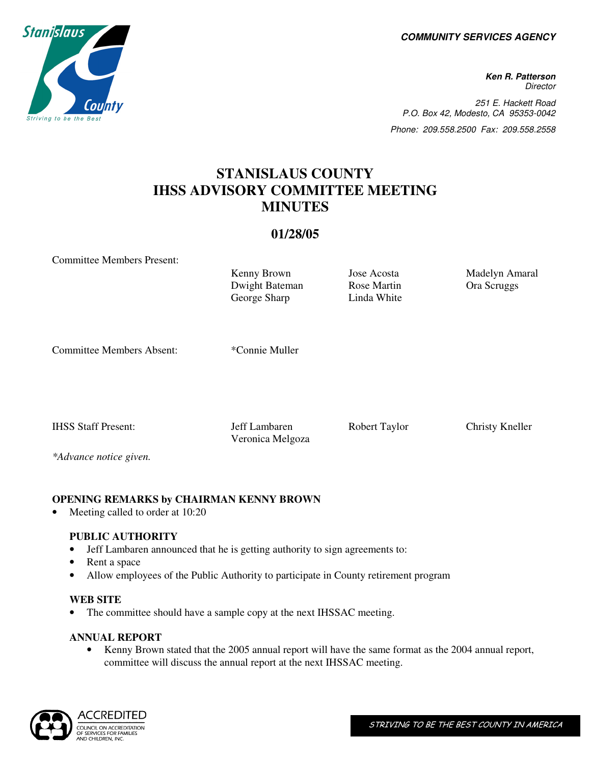**COMMUNITY SERVICES AGENCY** 

**Ken R. Patterson Director** 251 E. Hackett Road P.O. Box 42, Modesto, CA 95353-0042 Phone: 209.558.2500 Fax: 209.558.2558

# **STANISLAUS COUNTY IHSS ADVISORY COMMITTEE MEETING MINUTES**

# **01/28/05**

Committee Members Present:

Kenny Brown Jose Acosta Madelyn Amaral Dwight Bateman George Sharp

Rose Martin Linda White Ora Scruggs

Committee Members Absent: \*Connie Muller

IHSS Staff Present: Jeff Lambaren Robert Taylor Christy Kneller

Veronica Melgoza

*\*Advance notice given.* 

# **OPENING REMARKS by CHAIRMAN KENNY BROWN**

Meeting called to order at 10:20

# **PUBLIC AUTHORITY**

- Jeff Lambaren announced that he is getting authority to sign agreements to:
- Rent a space
- Allow employees of the Public Authority to participate in County retirement program

# **WEB SITE**

The committee should have a sample copy at the next IHSSAC meeting.

# **ANNUAL REPORT**

• Kenny Brown stated that the 2005 annual report will have the same format as the 2004 annual report, committee will discuss the annual report at the next IHSSAC meeting.



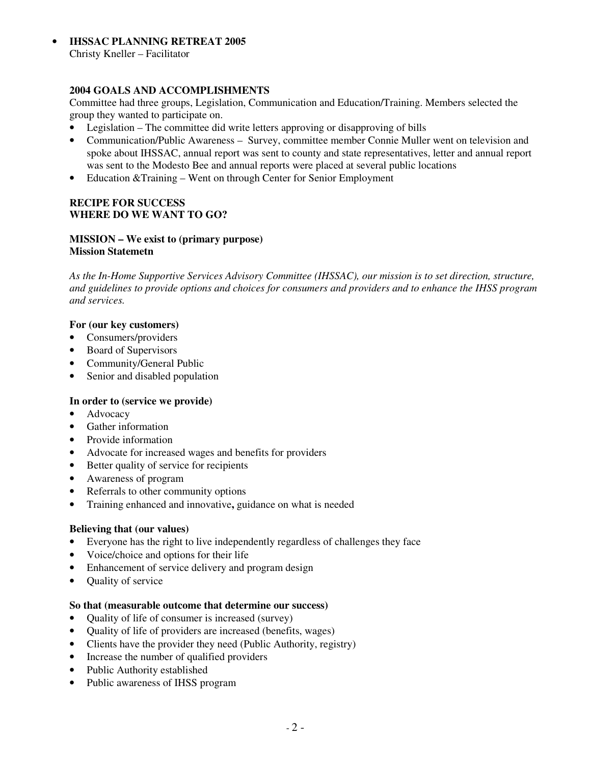• **IHSSAC PLANNING RETREAT 2005** Christy Kneller – Facilitator

# **2004 GOALS AND ACCOMPLISHMENTS**

Committee had three groups, Legislation, Communication and Education/Training. Members selected the group they wanted to participate on.

- Legislation The committee did write letters approving or disapproving of bills
- Communication/Public Awareness Survey, committee member Connie Muller went on television and spoke about IHSSAC, annual report was sent to county and state representatives, letter and annual report was sent to the Modesto Bee and annual reports were placed at several public locations
- Education & Training Went on through Center for Senior Employment

### **RECIPE FOR SUCCESS WHERE DO WE WANT TO GO?**

#### **MISSION – We exist to (primary purpose) Mission Statemetn**

*As the In-Home Supportive Services Advisory Committee (IHSSAC), our mission is to set direction, structure, and guidelines to provide options and choices for consumers and providers and to enhance the IHSS program and services.* 

### **For (our key customers)**

- Consumers/providers
- Board of Supervisors
- Community/General Public
- Senior and disabled population

### **In order to (service we provide)**

- Advocacy
- Gather information
- Provide information
- Advocate for increased wages and benefits for providers
- Better quality of service for recipients
- Awareness of program
- Referrals to other community options
- Training enhanced and innovative**,** guidance on what is needed

#### **Believing that (our values)**

- Everyone has the right to live independently regardless of challenges they face
- Voice/choice and options for their life
- Enhancement of service delivery and program design
- Quality of service

#### **So that (measurable outcome that determine our success)**

- Quality of life of consumer is increased (survey)
- Quality of life of providers are increased (benefits, wages)
- Clients have the provider they need (Public Authority, registry)
- Increase the number of qualified providers
- Public Authority established
- Public awareness of IHSS program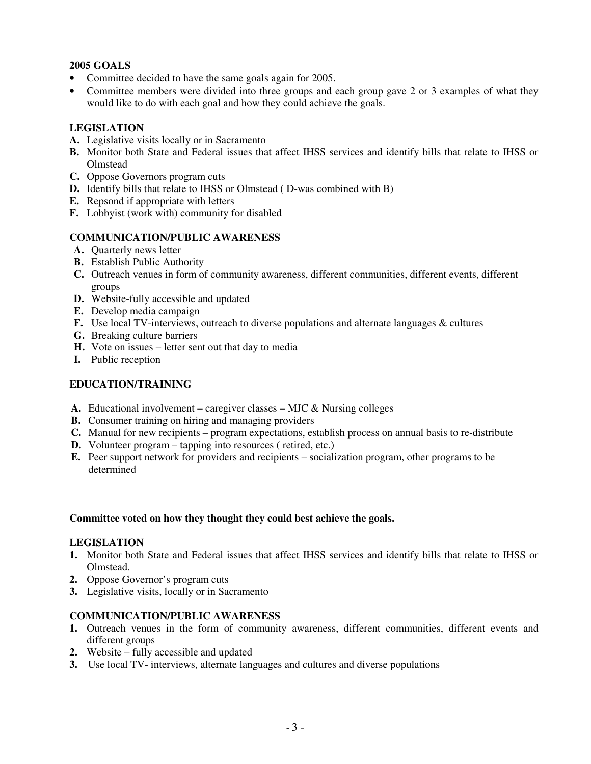# **2005 GOALS**

- Committee decided to have the same goals again for 2005.
- Committee members were divided into three groups and each group gave 2 or 3 examples of what they would like to do with each goal and how they could achieve the goals.

# **LEGISLATION**

- **A.** Legislative visits locally or in Sacramento
- **B.** Monitor both State and Federal issues that affect IHSS services and identify bills that relate to IHSS or **Olmstead**
- **C.** Oppose Governors program cuts
- **D.** Identify bills that relate to IHSS or Olmstead ( D-was combined with B)
- **E.** Repsond if appropriate with letters
- **F.** Lobbyist (work with) community for disabled

# **COMMUNICATION/PUBLIC AWARENESS**

- **A.** Quarterly news letter
- **B.** Establish Public Authority
- **C.** Outreach venues in form of community awareness, different communities, different events, different groups
- **D.** Website-fully accessible and updated
- **E.** Develop media campaign
- **F.** Use local TV-interviews, outreach to diverse populations and alternate languages & cultures
- **G.** Breaking culture barriers
- **H.** Vote on issues letter sent out that day to media
- **I.** Public reception

# **EDUCATION/TRAINING**

- **A.** Educational involvement caregiver classes MJC & Nursing colleges
- **B.** Consumer training on hiring and managing providers
- **C.** Manual for new recipients program expectations, establish process on annual basis to re-distribute
- **D.** Volunteer program tapping into resources ( retired, etc.)
- **E.** Peer support network for providers and recipients socialization program, other programs to be determined

### **Committee voted on how they thought they could best achieve the goals.**

### **LEGISLATION**

- **1.** Monitor both State and Federal issues that affect IHSS services and identify bills that relate to IHSS or Olmstead.
- **2.** Oppose Governor's program cuts
- **3.** Legislative visits, locally or in Sacramento

# **COMMUNICATION/PUBLIC AWARENESS**

- **1.** Outreach venues in the form of community awareness, different communities, different events and different groups
- **2.** Website fully accessible and updated
- **3.** Use local TV- interviews, alternate languages and cultures and diverse populations